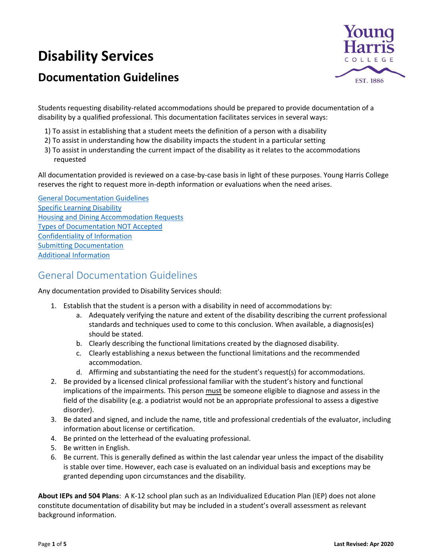# **Disability Services**





Students requesting disability-related accommodations should be prepared to provide documentation of a disability by a qualified professional. This documentation facilitates services in several ways:

- 1) To assist in establishing that a student meets the definition of a person with a disability
- 2) To assist in understanding how the disability impacts the student in a particular setting
- 3) To assist in understanding the current impact of the disability as it relates to the accommodations requested

All documentation provided is reviewed on a case-by-case basis in light of these purposes. Young Harris College reserves the right to request more in-depth information or evaluations when the need arises.

[General Documentation Guidelines](#page-0-0) [Specific Learning Disability](#page-1-0) [Housing and Dining Accommodation Requests](#page-1-1) [Types of Documentation NOT Accepted](#page-2-0) [Confidentiality of Information](#page-3-0) [Submitting Documentation](#page-3-1) [Additional Information](#page-3-1)

# <span id="page-0-0"></span>General Documentation Guidelines

Any documentation provided to Disability Services should:

- 1. Establish that the student is a person with a disability in need of accommodations by:
	- a. Adequately verifying the nature and extent of the disability describing the current professional standards and techniques used to come to this conclusion. When available, a diagnosis(es) should be stated.
	- b. Clearly describing the functional limitations created by the diagnosed disability.
	- c. Clearly establishing a nexus between the functional limitations and the recommended accommodation.
	- d. Affirming and substantiating the need for the student's request(s) for accommodations.
- 2. Be provided by a licensed clinical professional familiar with the student's history and functional implications of the impairments. This person must be someone eligible to diagnose and assess in the field of the disability (e.g. a podiatrist would not be an appropriate professional to assess a digestive disorder).
- 3. Be dated and signed, and include the name, title and professional credentials of the evaluator, including information about license or certification.
- 4. Be printed on the letterhead of the evaluating professional.
- 5. Be written in English.
- 6. Be current. This is generally defined as within the last calendar year unless the impact of the disability is stable over time. However, each case is evaluated on an individual basis and exceptions may be granted depending upon circumstances and the disability.

**About IEPs and 504 Plans**: A K-12 school plan such as an Individualized Education Plan (IEP) does not alone constitute documentation of disability but may be included in a student's overall assessment as relevant background information.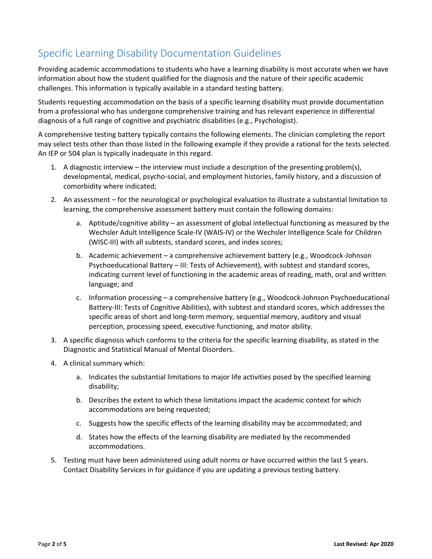# <span id="page-1-0"></span>Specific Learning Disability Documentation Guidelines

Providing academic accommodations to students who have a learning disability is most accurate when we have information about how the student qualified for the diagnosis and the nature of their specific academic challenges. This information is typically available in a standard testing battery.

Students requesting accommodation on the basis of a specific learning disability must provide documentation from a professional who has undergone comprehensive training and has relevant experience in differential diagnosis of a full range of cognitive and psychiatric disabilities (e.g., Psychologist).

A comprehensive testing battery typically contains the following elements. The clinician completing the report may select tests other than those listed in the following example if they provide a rational for the tests selected. An IEP or 504 plan is typically inadequate in this regard.

- 1. A diagnostic interview the interview must include a description of the presenting problem(s), developmental, medical, psycho-social, and employment histories, family history, and a discussion of comorbidity where indicated;
- 2. An assessment for the neurological or psychological evaluation to illustrate a substantial limitation to learning, the comprehensive assessment battery must contain the following domains:
	- a. Aptitude/cognitive ability an assessment of global intellectual functioning as measured by the Wechsler Adult Intelligence Scale-IV (WAIS-IV) or the Wechsler Intelligence Scale for Children (WISC-III) with all subtests, standard scores, and index scores;
	- b. Academic achievement a comprehensive achievement battery (e.g., Woodcock-Johnson Psychoeducational Battery – III: Tests of Achievement), with subtest and standard scores, indicating current level of functioning in the academic areas of reading, math, oral and written language; and
	- c. Information processing a comprehensive battery (e.g., Woodcock-Johnson Psychoeducational Battery-III: Tests of Cognitive Abilities), with subtest and standard scores, which addresses the specific areas of short and long-term memory, sequential memory, auditory and visual perception, processing speed, executive functioning, and motor ability.
- 3. A specific diagnosis which conforms to the criteria for the specific learning disability, as stated in the Diagnostic and Statistical Manual of Mental Disorders.
- 4. A clinical summary which:
	- a. Indicates the substantial limitations to major life activities posed by the specified learning disability;
	- b. Describes the extent to which these limitations impact the academic context for which accommodations are being requested;
	- c. Suggests how the specific effects of the learning disability may be accommodated; and
	- d. States how the effects of the learning disability are mediated by the recommended accommodations.
- <span id="page-1-1"></span>5. Testing must have been administered using adult norms or have occurred within the last 5 years. Contact Disability Services in for guidance if you are updating a previous testing battery.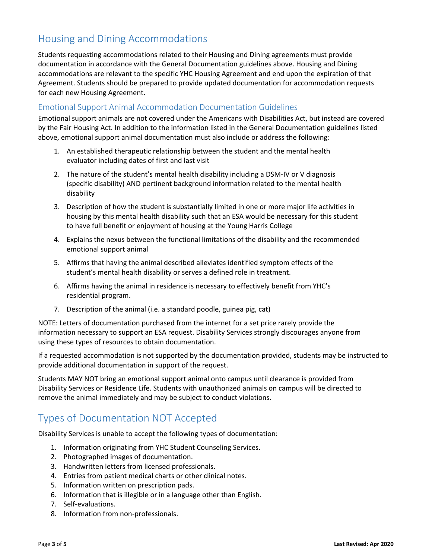# Housing and Dining Accommodations

Students requesting accommodations related to their Housing and Dining agreements must provide documentation in accordance with the General Documentation guidelines above. Housing and Dining accommodations are relevant to the specific YHC Housing Agreement and end upon the expiration of that Agreement. Students should be prepared to provide updated documentation for accommodation requests for each new Housing Agreement.

#### Emotional Support Animal Accommodation Documentation Guidelines

Emotional support animals are not covered under the Americans with Disabilities Act, but instead are covered by the Fair Housing Act. In addition to the information listed in the General Documentation guidelines listed above, emotional support animal documentation must also include or address the following:

- 1. An established therapeutic relationship between the student and the mental health evaluator including dates of first and last visit
- 2. The nature of the student's mental health disability including a DSM-IV or V diagnosis (specific disability) AND pertinent background information related to the mental health disability
- 3. Description of how the student is substantially limited in one or more major life activities in housing by this mental health disability such that an ESA would be necessary for this student to have full benefit or enjoyment of housing at the Young Harris College
- 4. Explains the nexus between the functional limitations of the disability and the recommended emotional support animal
- 5. Affirms that having the animal described alleviates identified symptom effects of the student's mental health disability or serves a defined role in treatment.
- 6. Affirms having the animal in residence is necessary to effectively benefit from YHC's residential program.
- 7. Description of the animal (i.e. a standard poodle, guinea pig, cat)

NOTE: Letters of documentation purchased from the internet for a set price rarely provide the information necessary to support an ESA request. Disability Services strongly discourages anyone from using these types of resources to obtain documentation.

If a requested accommodation is not supported by the documentation provided, students may be instructed to provide additional documentation in support of the request.

Students MAY NOT bring an emotional support animal onto campus until clearance is provided from Disability Services or Residence Life. Students with unauthorized animals on campus will be directed to remove the animal immediately and may be subject to conduct violations.

## <span id="page-2-0"></span>Types of Documentation NOT Accepted

Disability Services is unable to accept the following types of documentation:

- 1. Information originating from YHC Student Counseling Services.
- 2. Photographed images of documentation.
- 3. Handwritten letters from licensed professionals.
- 4. Entries from patient medical charts or other clinical notes.
- 5. Information written on prescription pads.
- 6. Information that is illegible or in a language other than English.
- 7. Self-evaluations.
- 8. Information from non-professionals.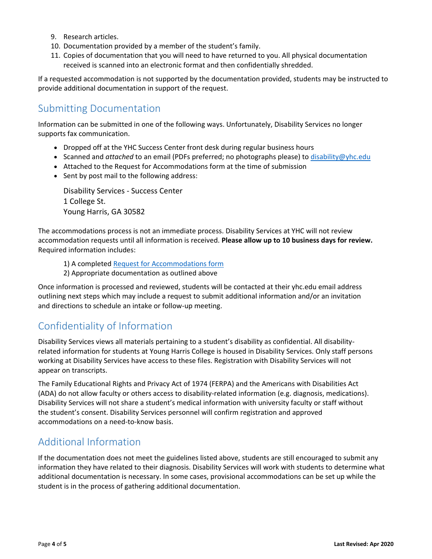- 9. Research articles.
- 10. Documentation provided by a member of the student's family.
- 11. Copies of documentation that you will need to have returned to you. All physical documentation received is scanned into an electronic format and then confidentially shredded.

If a requested accommodation is not supported by the documentation provided, students may be instructed to provide additional documentation in support of the request.

### <span id="page-3-0"></span>Submitting Documentation

Information can be submitted in one of the following ways. Unfortunately, Disability Services no longer supports fax communication.

- Dropped off at the YHC Success Center front desk during regular business hours
- Scanned and *attached* to an email (PDFs preferred; no photographs please) to [disability@yhc.edu](mailto:disability@yhc.edu?subject=Submitting%20Documentation%20-%20[Insert%20Name])
- Attached to the Request for Accommodations form at the time of submission
- Sent by post mail to the following address:

Disability Services - Success Center 1 College St. Young Harris, GA 30582

The accommodations process is not an immediate process. Disability Services at YHC will not review accommodation requests until all information is received. **Please allow up to 10 business days for review.** Required information includes:

1) A complete[d Request for Accommodations form](https://studentyhc.sharepoint.com/campus-services/Pages/DisabilityServices.aspx)

2) Appropriate documentation as outlined above

Once information is processed and reviewed, students will be contacted at their yhc.edu email address outlining next steps which may include a request to submit additional information and/or an invitation and directions to schedule an intake or follow-up meeting.

# Confidentiality of Information

Disability Services views all materials pertaining to a student's disability as confidential. All disabilityrelated information for students at Young Harris College is housed in Disability Services. Only staff persons working at Disability Services have access to these files. Registration with Disability Services will not appear on transcripts.

The Family Educational Rights and Privacy Act of 1974 (FERPA) and the Americans with Disabilities Act (ADA) do not allow faculty or others access to disability-related information (e.g. diagnosis, medications). Disability Services will not share a student's medical information with university faculty or staff without the student's consent. Disability Services personnel will confirm registration and approved accommodations on a need-to-know basis.

## <span id="page-3-1"></span>Additional Information

If the documentation does not meet the guidelines listed above, students are still encouraged to submit any information they have related to their diagnosis. Disability Services will work with students to determine what additional documentation is necessary. In some cases, provisional accommodations can be set up while the student is in the process of gathering additional documentation.